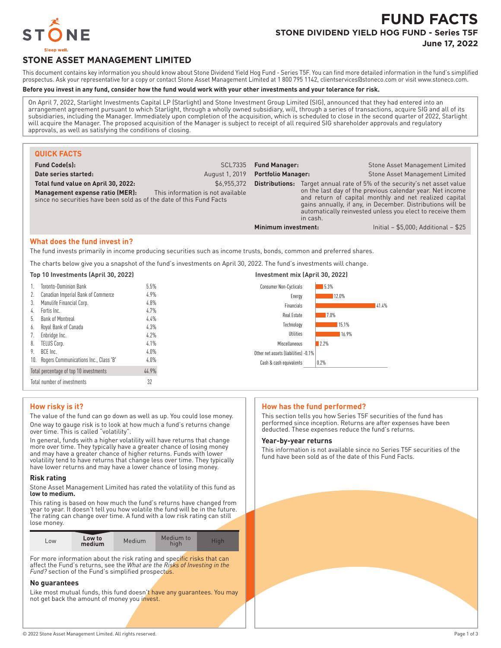

# **FUND FACTS STONE DIVIDEND YIELD HOG FUND - Series T5F June 17, 2022**

**STONE ASSET MANAGEMENT LIMITED**

This document contains key information you should know about Stone Dividend Yield Hog Fund - Series T5F. You can find more detailed information in the fund's simplified prospectus. Ask your representative for a copy or contact Stone Asset Management Limited at 1 800 795 1142, clientservices@stoneco.com or visit www.stoneco.com.

## **Before you invest in any fund, consider how the fund would work with your other investments and your tolerance for risk.**

On April 7, 2022, Starlight Investments Capital LP (Starlight) and Stone Investment Group Limited (SIG), announced that they had entered into an arrangement agreement pursuant to which Starlight, through a wholly owned subsidiary, will, through a series of transactions, acquire SIG and all of its subsidiaries, including the Manager. Immediately upon completion of the acquisition, which is scheduled to close in the second quarter of 2022, Starlight will acquire the Manager. The proposed acquisition of the Manager is subject to receipt of all required SIG shareholder approvals and regulatory approvals, as well as satisfying the conditions of closing.

| <b>QUICK FACTS</b>                                                                                                                                    |                                                  |                           |                                                                                                                                                                                                                                                                                                                                                                                           |
|-------------------------------------------------------------------------------------------------------------------------------------------------------|--------------------------------------------------|---------------------------|-------------------------------------------------------------------------------------------------------------------------------------------------------------------------------------------------------------------------------------------------------------------------------------------------------------------------------------------------------------------------------------------|
| <b>Fund Code(s):</b>                                                                                                                                  | <b>SCL7335</b>                                   | <b>Fund Manager:</b>      | Stone Asset Management Limited                                                                                                                                                                                                                                                                                                                                                            |
| Date series started:                                                                                                                                  | August 1, 2019                                   | <b>Portfolio Manager:</b> | Stone Asset Management Limited                                                                                                                                                                                                                                                                                                                                                            |
| Total fund value on April 30, 2022:<br>Management expense ratio (MER):<br>since no securities have been sold as of the date of this Fund Facts        | \$6,955,372<br>This information is not available | Minimum investment:       | <b>Distributions:</b> Target annual rate of 5% of the security's net asset value<br>on the last day of the previous calendar year. Net income<br>and return of capital monthly and net realized capital<br>gains annually, if any, in December. Distributions will be<br>automatically reinvested unless you elect to receive them<br>in cash.<br>Initial - $$5,000$ ; Additional - $$25$ |
| What does the fund invest in?<br>The fund invests primarily in income producing securities such as income trusts, bonds, common and preferred shares. |                                                  |                           |                                                                                                                                                                                                                                                                                                                                                                                           |
| The charts below give you a snapshot of the fund's investments on April 30, 2022. The fund's investments will change.                                 |                                                  |                           |                                                                                                                                                                                                                                                                                                                                                                                           |
| Top 10 Investments (April 30, 2022)                                                                                                                   |                                                  |                           | Investment mix (April 30, 2022)                                                                                                                                                                                                                                                                                                                                                           |
|                                                                                                                                                       |                                                  |                           |                                                                                                                                                                                                                                                                                                                                                                                           |

| <b>Toronto-Dominion Bank</b>              | 5.5%  | 5.3%<br><b>Consumer Non-Cyclicals</b> |       |
|-------------------------------------------|-------|---------------------------------------|-------|
| Canadian Imperial Bank of Commerce        | 4.9%  | Energy                                | 12.0% |
| Manulife Financial Corp.<br>3.            | 4.8%  | Financials                            | 41.4% |
| Fortis Inc.<br>4.                         | 4.7%  | Real Estate                           | 7.0%  |
| Bank of Montreal<br>h.                    | 4.4%  |                                       |       |
| Royal Bank of Canada<br>6.                | 4.3%  | Technology                            | 15.1% |
| Enbridge Inc.                             | 4.2%  | Utilities                             | 16.9% |
| TELUS Corp.<br>8.                         | 4.1%  | 2.2%<br>Miscellaneous                 |       |
| BCE Inc.<br>9.                            | 4.0%  | Other net assets (liabilities) -0.1%  |       |
| 10. Rogers Communications Inc., Class 'B' | 4.0%  | 0.2%<br>Cash & cash equivalents       |       |
| Total percentage of top 10 investments    | 44.9% |                                       |       |
| Total number of investments               | 32    |                                       |       |

## **How risky is it?**

The value of the fund can go down as well as up. You could lose money. One way to gauge risk is to look at how much a fund's returns change over time. This is called "volatility".

In general, funds with a higher volatility will have returns that change more over time. They typically have a greater chance of losing money and may have a greater chance of higher returns. Funds with lower volatility tend to have returns that change less over time. They typically have lower returns and may have a lower chance of losing money.

### **Risk rating**

Stone Asset Management Limited has rated the volatility of this fund as **low to medium.**

This rating is based on how much the fund's returns have changed from year to year. It doesn't tell you how volatile the fund will be in the future. The rating can change over time. A fund with a low risk rating can still lose money.

| Low to<br>Medium<br>L <sub>OW</sub><br>medium | Medium to<br>hiah | Hiah |
|-----------------------------------------------|-------------------|------|
|-----------------------------------------------|-------------------|------|

For more information about the risk rating and specific risks that can affect the Fund's returns, see the *What are the Risks of Investing in the* Fund? section of the Fund's simplified prospectus.

#### **No guarantees**

Like most mutual funds, this fund doesn't have any quarantees. You may not get back the amount of money you invest.

## **How has the fund performed?**

This section tells you how Series T5F securities of the fund has performed since inception. Returns are after expenses have been deducted. These expenses reduce the fund's returns.

#### **Year-by-year returns**

This information is not available since no Series T5F securities of the fund have been sold as of the date of this Fund Facts.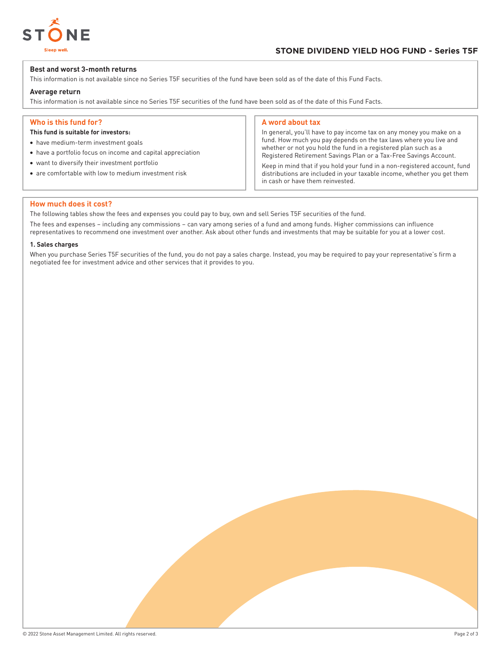

## **Best and worst 3-month returns**

This information is not available since no Series T5F securities of the fund have been sold as of the date of this Fund Facts.

## **Average return**

This information is not available since no Series T5F securities of the fund have been sold as of the date of this Fund Facts.

## **Who is this fund for?**

## **This fund is suitable for investors:**

- have medium-term investment goals
- have a portfolio focus on income and capital appreciation
- want to diversify their investment portfolio
- are comfortable with low to medium investment risk

#### **A word about tax**

In general, you'll have to pay income tax on any money you make on a fund. How much you pay depends on the tax laws where you live and whether or not you hold the fund in a registered plan such as a Registered Retirement Savings Plan or a Tax-Free Savings Account.

Keep in mind that if you hold your fund in a non-registered account, fund distributions are included in your taxable income, whether you get them in cash or have them reinvested.

#### **How much does it cost?**

The following tables show the fees and expenses you could pay to buy, own and sell Series T5F securities of the fund.

The fees and expenses – including any commissions – can vary among series of a fund and among funds. Higher commissions can influence representatives to recommend one investment over another. Ask about other funds and investments that may be suitable for you at a lower cost.

#### **1. Sales charges**

When you purchase Series T5F securities of the fund, you do not pay a sales charge. Instead, you may be required to pay your representative's firm a negotiated fee for investment advice and other services that it provides to you.